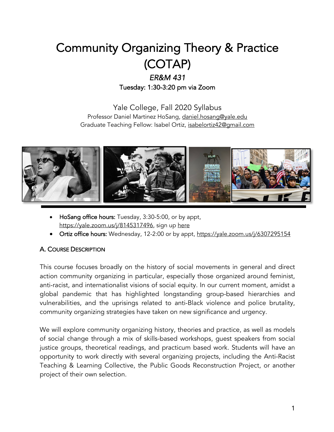# Community Organizing Theory & Practice (COTAP)

## *ER&M 431* Tuesday: 1:30-3:20 pm via Zoom

Yale College, Fall 2020 Syllabus Professor Daniel Martinez HoSang, daniel.hosang@yale.edu Graduate Teaching Fellow: Isabel Ortiz, isabelortiz42@gmail.com



- HoSang office hours: Tuesday, 3:30-5:00, or by appt, https://yale.zoom.us/j/8145317496, sign up here
- Ortiz office hours: Wednesday, 12-2:00 or by appt, https://yale.zoom.us/j/6307295154

## A. COURSE DESCRIPTION

This course focuses broadly on the history of social movements in general and direct action community organizing in particular, especially those organized around feminist, anti-racist, and internationalist visions of social equity. In our current moment, amidst a global pandemic that has highlighted longstanding group-based hierarchies and vulnerabilities, and the uprisings related to anti-Black violence and police brutality, community organizing strategies have taken on new significance and urgency.

We will explore community organizing history, theories and practice, as well as models of social change through a mix of skills-based workshops, guest speakers from social justice groups, theoretical readings, and practicum based work. Students will have an opportunity to work directly with several organizing projects, including the Anti-Racist Teaching & Learning Collective, the Public Goods Reconstruction Project, or another project of their own selection.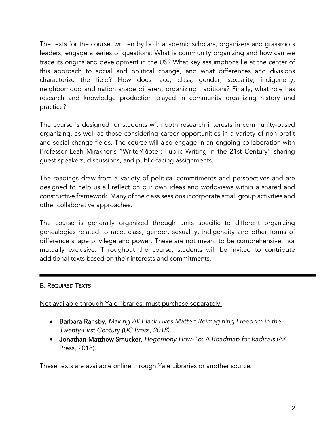The texts for the course, written by both academic scholars, organizers and grassroots leaders, engage a series of questions: What is community organizing and how can we trace its origins and development in the US? What key assumptions lie at the center of this approach to social and political change, and what differences and divisions characterize the field? How does race, class, gender, sexuality, indigeneity, neighborhood and nation shape different organizing traditions? Finally, what role has research and knowledge production played in community organizing history and practice?

The course is designed for students with both research interests in community-based organizing, as well as those considering career opportunities in a variety of non-profit and social change fields. The course will also engage in an ongoing collaboration with Professor Leah Mirakhor's "Writer/Rioter: Public Writing in the 21st Century" sharing guest speakers, discussions, and public-facing assignments.

The readings draw from a variety of political commitments and perspectives and are designed to help us all reflect on our own ideas and worldviews within a shared and constructive framework. Many of the class sessions incorporate small group activities and other collaborative approaches.

The course is generally organized through units specific to different organizing genealogies related to race, class, gender, sexuality, indigeneity and other forms of difference shape privilege and power. These are not meant to be comprehensive, nor mutually exclusive. Throughout the course, students will be invited to contribute additional texts based on their interests and commitments.

### B. REQUIRED TEXTS

Not available through Yale libraries; must purchase separately.

- Barbara Ransby, *Making All Black Lives Matter: Reimagining Freedom in the Twenty-First Century (UC Press, 2018).*
- Jonathan Matthew Smucker, *Hegemony How-To: A Roadmap for Radicals* (AK Press, 2018).

These texts are available online through Yale Libraries or another source.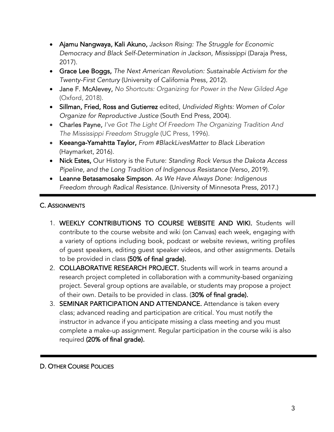- Ajamu Nangwaya, Kali Akuno, *Jackson Rising: The Struggle for Economic Democracy and Black Self-Determination in Jackson, Mississippi* (Daraja Press, 2017).
- Grace Lee Boggs, *The Next American Revolution: Sustainable Activism for the Twenty-First Century* (University of California Press, 2012).
- Jane F. McAlevey, *No Shortcuts: Organizing for Power in the New Gilded Age*  (Oxford, 2018).
- Sillman, Fried, Ross and Gutierrez edited, *Undivided Rights: Women of Color Organize for Reproductive Justice* (South End Press, 2004).
- Charles Payne, *I've Got The Light Of Freedom The Organizing Tradition And The Mississippi Freedom Struggle* (UC Press, 1996).
- Keeanga-Yamahtta Taylor, *From #BlackLivesMatter to Black Liberation* (Haymarket, 2016).
- Nick Estes, Our History is the Future: *Standing Rock Versus the Dakota Access Pipeline, and the Long Tradition of Indigenous Resistance* (Verso, 2019).
- Leanne Betasamosake Simpson*. As We Have Always Done: Indigenous Freedom through Radical Resistance.* (University of Minnesota Press, 2017.)

## C. ASSIGNMENTS

- 1. WEEKLY CONTRIBUTIONS TO COURSE WEBSITE AND WIKI. Students will contribute to the course website and wiki (on Canvas) each week, engaging with a variety of options including book, podcast or website reviews, writing profiles of guest speakers, editing guest speaker videos, and other assignments. Details to be provided in class (50% of final grade).
- 2. COLLABORATIVE RESEARCH PROJECT. Students will work in teams around a research project completed in collaboration with a community-based organizing project. Several group options are available, or students may propose a project of their own. Details to be provided in class. (30% of final grade).
- 3. SEMINAR PARTICIPATION AND ATTENDANCE. Attendance is taken every class; advanced reading and participation are critical. You must notify the instructor in advance if you anticipate missing a class meeting and you must complete a make-up assignment. Regular participation in the course wiki is also required (20% of final grade).

### D. OTHER COURSE POLICIES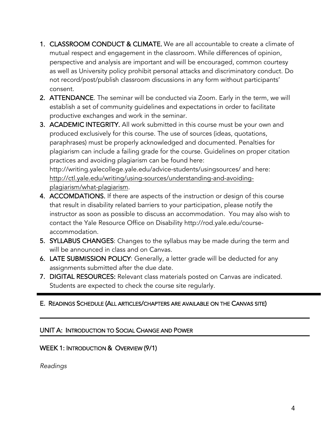- 1. CLASSROOM CONDUCT & CLIMATE. We are all accountable to create a climate of mutual respect and engagement in the classroom. While differences of opinion, perspective and analysis are important and will be encouraged, common courtesy as well as University policy prohibit personal attacks and discriminatory conduct. Do not record/post/publish classroom discussions in any form without participants' consent.
- 2. ATTENDANCE. The seminar will be conducted via Zoom. Early in the term, we will establish a set of community guidelines and expectations in order to facilitate productive exchanges and work in the seminar.
- 3. ACADEMIC INTEGRITY. All work submitted in this course must be your own and produced exclusively for this course. The use of sources (ideas, quotations, paraphrases) must be properly acknowledged and documented. Penalties for plagiarism can include a failing grade for the course. Guidelines on proper citation practices and avoiding plagiarism can be found here: http://writing.yalecollege.yale.edu/advice-students/usingsources/ and here: http://ctl.yale.edu/writing/using-sources/understanding-and-avoidingplagiarism/what-plagiarism.
- 4. ACCOMDATIONS. If there are aspects of the instruction or design of this course that result in disability related barriers to your participation, please notify the instructor as soon as possible to discuss an accommodation. You may also wish to contact the Yale Resource Office on Disability http://rod.yale.edu/courseaccommodation.
- 5. SYLLABUS CHANGES: Changes to the syllabus may be made during the term and will be announced in class and on Canvas.
- 6. LATE SUBMISSION POLICY: Generally, a letter grade will be deducted for any assignments submitted after the due date.
- 7. DIGITAL RESOURCES: Relevant class materials posted on Canvas are indicated. Students are expected to check the course site regularly.

## E. READINGS SCHEDULE (ALL ARTICLES/CHAPTERS ARE AVAILABLE ON THE CANVAS SITE)

#### UNIT A: INTRODUCTION TO SOCIAL CHANGE AND POWER

### WEEK 1: INTRODUCTION & OVERVIEW (9/1)

*Readings*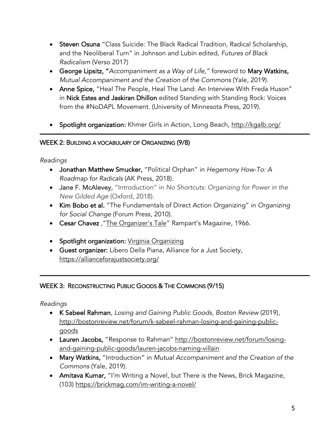- Steven Osuna "Class Suicide: The Black Radical Tradition, Radical Scholarship, and the Neoliberal Turn" in Johnson and Lubin edited, *Futures of Black Radicalism* (Verso 2017)
- George Lipsitz, "*Accompaniment as a Way of Life,"* foreword to Mary Watkins, *Mutual Accompaniment and the Creation of the Commons* (Yale, 2019).
- Anne Spice, "Heal The People, Heal The Land: An Interview With Freda Huson" in Nick Estes and Jaskiran Dhillon edited Standing with Standing Rock: Voices from the #NoDAPL Movement. (University of Minnesota Press, 2019).
- Spotlight organization: Khmer Girls in Action, Long Beach, http://kgalb.org/

### WEEK 2: BUILDING A VOCABULARY OF ORGANIZING (9/8)

*Readings*

-

- Jonathan Matthew Smucker, "Political Orphan" in *Hegemony How-To: A Roadmap for Radicals* (AK Press, 2018).
- Jane F. McAlevey, "Introduction" in *No Shortcuts: Organizing for Power in the New Gilded Age* (Oxford, 2018).
- Kim Bobo et al. "The Fundamentals of Direct Action Organizing" in *Organizing for Social Change* (Forum Press, 2010).
- Cesar Chavez, "The Organizer's Tale" Rampart's Magazine, 1966.
- Spotlight organization: Virginia Organizing
- Guest organizer: Libero Della Piana, Alliance for a Just Society, https://allianceforajustsociety.org/

### WEEK 3: RECONSTRUCTING PUBLIC GOODS & THE COMMONS (9/15)

*Readings*

İ

- K Sabeel Rahman, *Losing and Gaining Public Goods, Boston Review* (2019), http://bostonreview.net/forum/k-sabeel-rahman-losing-and-gaining-publicgoods
- Lauren Jacobs, "Response to Rahman" http://bostonreview.net/forum/losingand-gaining-public-goods/lauren-jacobs-naming-villain
- Mary Watkins, "Introduction" in *Mutual Accompaniment and the Creation of the Commons* (Yale, 2019).
- Amitava Kumar, "I'm Writing a Novel, but There is the News, Brick Magazine, (103) https://brickmag.com/im-writing-a-novel/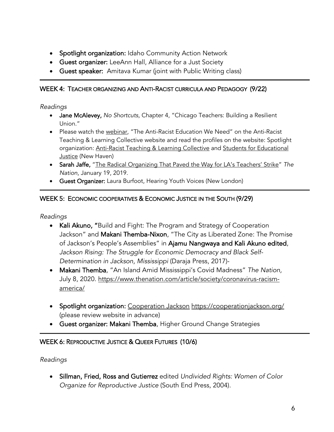- Spotlight organization: Idaho Community Action Network
- Guest organizer: LeeAnn Hall, Alliance for a Just Society
- Guest speaker: Amitava Kumar (joint with Public Writing class)

#### WEEK 4: TEACHER ORGANIZING AND ANTI-RACIST CURRICULA AND PEDAGOGY (9/22)

#### *Readings*

-

- Jane McAlevey, *No Shortcuts,* Chapter 4, "Chicago Teachers: Building a Resilient Union."
- Please watch the webinar, "The Anti-Racist Education We Need" on the Anti-Racist Teaching & Learning Collective website and read the profiles on the website: Spotlight organization: Anti-Racist Teaching & Learning Collective and Students for Educational **Justice (New Haven)**
- Sarah Jaffe, "The Radical Organizing That Paved the Way for LA's Teachers' Strike" *The Nation*, January 19, 2019.
- Guest Organizer: Laura Burfoot, Hearing Youth Voices (New London)

### WEEK 5: ECONOMIC COOPERATIVES & ECONOMIC JUSTICE IN THE SOUTH (9/29)

*Readings*

- Kali Akuno, "Build and Fight: The Program and Strategy of Cooperation Jackson" and Makani Themba-Nixon, "The City as Liberated Zone: The Promise of Jackson's People's Assemblies" in Ajamu Nangwaya and Kali Akuno edited, *Jackson Rising: The Struggle for Economic Democracy and Black Self-Determination in Jackson, Mississippi* (Daraja Press, 2017)-
- Makani Themba, "An Island Amid Mississippi's Covid Madness" *The Nation,* July 8, 2020. https://www.thenation.com/article/society/coronavirus-racismamerica/
- Spotlight organization: Cooperation Jackson https://cooperationjackson.org/ (please review website in advance)
- Guest organizer: Makani Themba, Higher Ground Change Strategies

### WEEK 6: REPRODUCTIVE JUSTICE & QUEER FUTURES (10/6)

*Readings*

-

• Sillman, Fried, Ross and Gutierrez edited *Undivided Rights: Women of Color Organize for Reproductive Justice* (South End Press, 2004).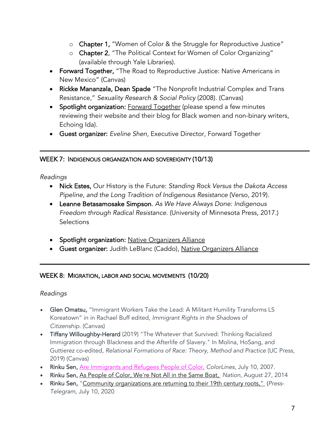- o Chapter 1, "Women of Color & the Struggle for Reproductive Justice"
- o Chapter 2, "The Political Context for Women of Color Organizing" (available through Yale Libraries).
- Forward Together, "The Road to Reproductive Justice: Native Americans in New Mexico" (Canvas)
- Rickke Mananzala, Dean Spade "The Nonprofit Industrial Complex and Trans Resistance," *Sexuality Research & Social Policy* (2008). (Canvas)
- Spotlight organization: **Forward Together** (please spend a few minutes reviewing their website and their blog for Black women and non-binary writers, Echoing Ida).
- Guest organizer: *Eveline Shen,* Executive Director, Forward Together

#### WEEK 7: INDIGENOUS ORGANIZATION AND SOVEREIGNTY (10/13)

#### *Readings*

- Nick Estes, Our History is the Future: *Standing Rock Versus the Dakota Access Pipeline, and the Long Tradition of Indigenous Resistance* (Verso, 2019).
- Leanne Betasamosake Simpson*. As We Have Always Done: Indigenous Freedom through Radical Resistance.* (University of Minnesota Press, 2017.) **Selections**
- Spotlight organization: Native Organizers Alliance
- Guest organizer: Judith LeBlanc (Caddo), Native Organizers Alliance

#### WEEK 8: MIGRATION, LABOR AND SOCIAL MOVEMENTS (10/20)

#### *Readings*

٦

- Glen Omatsu, "Immigrant Workers Take the Lead: A Militant Humility Transforms LS Koreatown" in in Rachael Buff edited, *Immigrant Rights in the Shadows of Citizenship.* (Canvas)
- Tiffany Willoughby-Herard (2019) "The Whatever that Survived: Thinking Racialized Immigration through Blackness and the Afterlife of Slavery." In Molina, HoSang, and Guttierez co-edited, *Relational Formations of Race: Theory, Method and Practice* (UC Press, 2019) (Canvas)
- Rinku Sen, Are Immigrants and Refugees People of Color, *ColorLines*, July 10, 2007.
- Rinku Sen, As People of Color, We're Not All in the Same Boat, *Nation*, August 27, 2014
- Rinku Sen, "Community organizations are returning to their 19th century roots," (*Press-Telegram,* July 10, 2020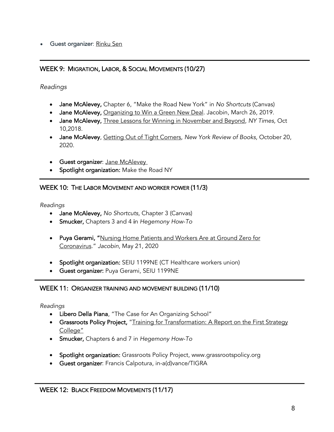• Guest organizer: Rinku Sen

#### WEEK 9: MIGRATION, LABOR, & SOCIAL MOVEMENTS (10/27)

*Readings*

- Jane McAlevey, Chapter 6, "Make the Road New York" in *No Shortcuts* (Canvas)
- Jane McAlevey, Organizing to Win a Green New Deal. Jacobin, March 26, 2019.
- Jane McAlevey, Three Lessons for Winning in November and Beyond, *NY Times,* Oct 10,2018.
- Jane McAlevey, Getting Out of Tight Corners, *New York Review of Books,* October 20, 2020.
- Guest organizer: Jane McAlevey
- Spotlight organization: Make the Road NY

#### WEEK 10: THE LABOR MOVEMENT AND WORKER POWER (11/3)

*Readings*

- Jane McAlevey, *No Shortcuts,* Chapter 3 (Canvas)
- Smucker, Chapters 3 and 4 in *Hegemony How-To*
- Puya Gerami, "Nursing Home Patients and Workers Are at Ground Zero for Coronavirus." *Jacobin*, May 21, 2020
- Spotlight organization: SEIU 1199NE (CT Healthcare workers union)
- Guest organizer: Puya Gerami, SEIU 1199NE

#### WEEK 11: ORGANIZER TRAINING AND MOVEMENT BUILDING (11/10)

*Readings*

 $\overline{a}$ 

- Libero Della Piana, "The Case for An Organizing School"
- Grassroots Policy Project, "Training for Transformation: A Report on the First Strategy College"
- Smucker, Chapters 6 and 7 in *Hegemony How-To*
- Spotlight organization: Grassroots Policy Project, www.grassrootspolicy.org
- Guest organizer: Francis Calpotura, in-a(d)vance/TIGRA